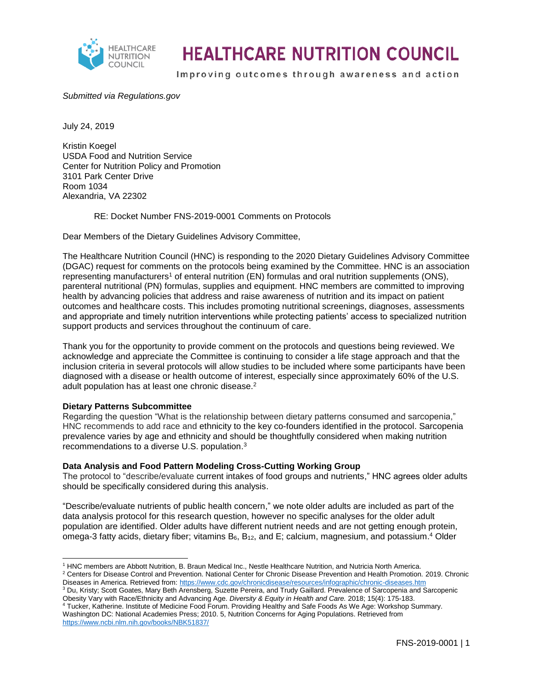

## **HEALTHCARE NUTRITION COUNCIL**

Improving outcomes through awareness and action

### *Submitted via Regulations.gov*

July 24, 2019

Kristin Koegel USDA Food and Nutrition Service Center for Nutrition Policy and Promotion 3101 Park Center Drive Room 1034 Alexandria, VA 22302

RE: Docket Number FNS-2019-0001 Comments on Protocols

Dear Members of the Dietary Guidelines Advisory Committee,

The Healthcare Nutrition Council (HNC) is responding to the 2020 Dietary Guidelines Advisory Committee (DGAC) request for comments on the protocols being examined by the Committee. HNC is an association representing manufacturers<sup>1</sup> of enteral nutrition (EN) formulas and oral nutrition supplements (ONS), parenteral nutritional (PN) formulas, supplies and equipment. HNC members are committed to improving health by advancing policies that address and raise awareness of nutrition and its impact on patient outcomes and healthcare costs. This includes promoting nutritional screenings, diagnoses, assessments and appropriate and timely nutrition interventions while protecting patients' access to specialized nutrition support products and services throughout the continuum of care.

Thank you for the opportunity to provide comment on the protocols and questions being reviewed. We acknowledge and appreciate the Committee is continuing to consider a life stage approach and that the inclusion criteria in several protocols will allow studies to be included where some participants have been diagnosed with a disease or health outcome of interest, especially since approximately 60% of the U.S. adult population has at least one chronic disease.<sup>2</sup>

#### **Dietary Patterns Subcommittee**

Regarding the question "What is the relationship between dietary patterns consumed and sarcopenia," HNC recommends to add race and ethnicity to the key co-founders identified in the protocol. Sarcopenia prevalence varies by age and ethnicity and should be thoughtfully considered when making nutrition recommendations to a diverse U.S. population.<sup>3</sup>

#### **Data Analysis and Food Pattern Modeling Cross-Cutting Working Group**

The protocol to "describe/evaluate current intakes of food groups and nutrients," HNC agrees older adults should be specifically considered during this analysis.

"Describe/evaluate nutrients of public health concern," we note older adults are included as part of the data analysis protocol for this research question, however no specific analyses for the older adult population are identified. Older adults have different nutrient needs and are not getting enough protein, omega-3 fatty acids, dietary fiber; vitamins  $B_6$ ,  $B_{12}$ , and E; calcium, magnesium, and potassium.<sup>4</sup> Older

l <sup>1</sup> HNC members are Abbott Nutrition, B. Braun Medical Inc., Nestle Healthcare Nutrition, and Nutricia North America. <sup>2</sup> Centers for Disease Control and Prevention. National Center for Chronic Disease Prevention and Health Promotion. 2019. Chronic Diseases in America. Retrieved from:<https://www.cdc.gov/chronicdisease/resources/infographic/chronic-diseases.htm>

<sup>3</sup> Du, Kristy; Scott Goates, Mary Beth Arensberg, Suzette Pereira, and Trudy Gaillard. Prevalence of Sarcopenia and Sarcopenic Obesity Vary with Race/Ethnicity and Advancing Age. *Diversity & Equity in Health and Care.* 2018; 15(4): 175-183.

<sup>4</sup> Tucker, Katherine. Institute of Medicine Food Forum. Providing Healthy and Safe Foods As We Age: Workshop Summary. Washington DC: National Academies Press; 2010. 5, Nutrition Concerns for Aging Populations. Retrieved from <https://www.ncbi.nlm.nih.gov/books/NBK51837/>